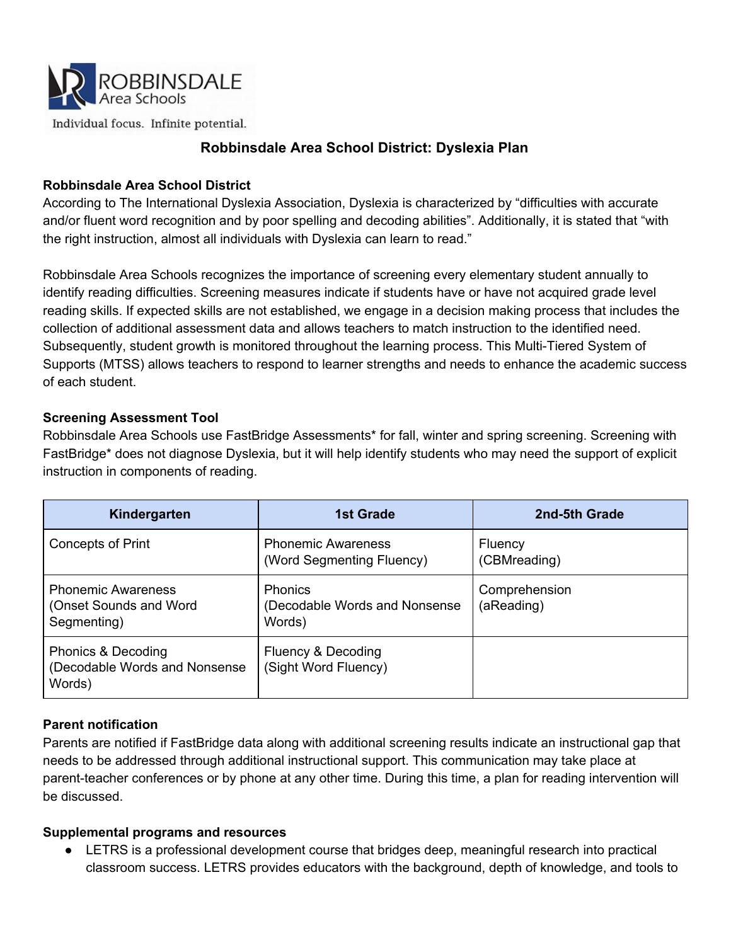

Individual focus. Infinite potential.

# **Robbinsdale Area School District: Dyslexia Plan**

### **Robbinsdale Area School District**

According to The International Dyslexia Association, Dyslexia is characterized by "difficulties with accurate and/or fluent word recognition and by poor spelling and decoding abilities". Additionally, it is stated that "with the right instruction, almost all individuals with Dyslexia can learn to read."

Robbinsdale Area Schools recognizes the importance of screening every elementary student annually to identify reading difficulties. Screening measures indicate if students have or have not acquired grade level reading skills. If expected skills are not established, we engage in a decision making process that includes the collection of additional assessment data and allows teachers to match instruction to the identified need. Subsequently, student growth is monitored throughout the learning process. This Multi-Tiered System of Supports (MTSS) allows teachers to respond to learner strengths and needs to enhance the academic success of each student.

#### **Screening Assessment Tool**

Robbinsdale Area Schools use FastBridge Assessments\* for fall, winter and spring screening. Screening with FastBridge\* does not diagnose Dyslexia, but it will help identify students who may need the support of explicit instruction in components of reading.

| Kindergarten                                                        | 1st Grade                                                  | 2nd-5th Grade               |
|---------------------------------------------------------------------|------------------------------------------------------------|-----------------------------|
| <b>Concepts of Print</b>                                            | <b>Phonemic Awareness</b><br>(Word Segmenting Fluency)     | Fluency<br>(CBMreading)     |
| <b>Phonemic Awareness</b><br>(Onset Sounds and Word)<br>Segmenting) | <b>Phonics</b><br>(Decodable Words and Nonsense)<br>Words) | Comprehension<br>(aReading) |
| Phonics & Decoding<br>(Decodable Words and Nonsense<br>Words)       | Fluency & Decoding<br>(Sight Word Fluency)                 |                             |

## **Parent notification**

Parents are notified if FastBridge data along with additional screening results indicate an instructional gap that needs to be addressed through additional instructional support. This communication may take place at parent-teacher conferences or by phone at any other time. During this time, a plan for reading intervention will be discussed.

#### **Supplemental programs and resources**

● LETRS is a professional development course that bridges deep, meaningful research into practical classroom success. LETRS provides educators with the background, depth of knowledge, and tools to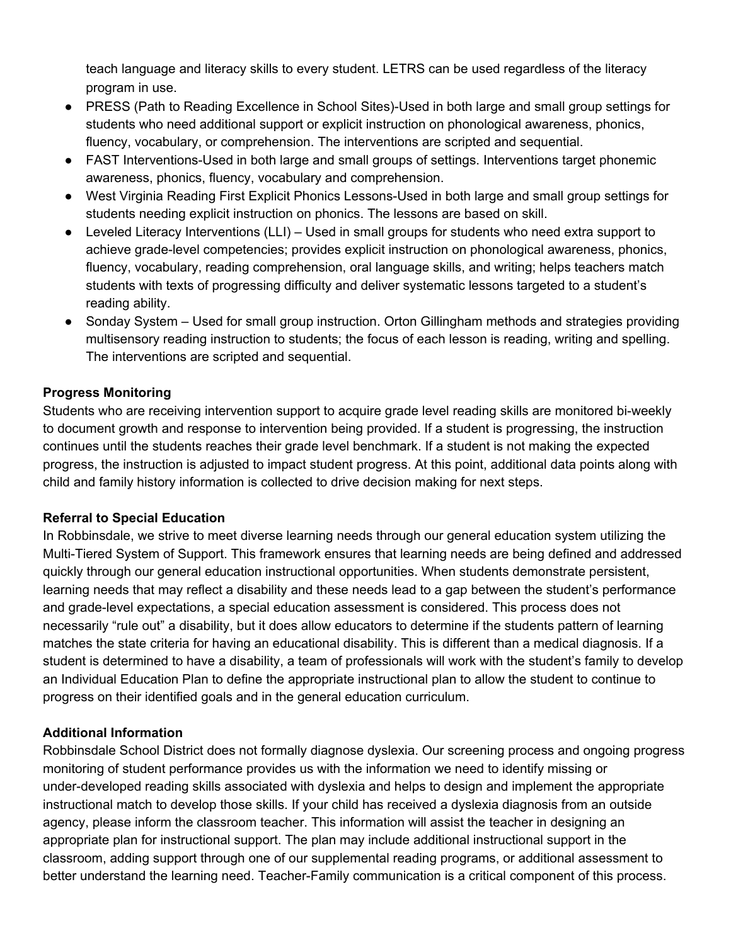teach language and literacy skills to every student. LETRS can be used regardless of the literacy program in use.

- PRESS (Path to Reading Excellence in School Sites)-Used in both large and small group settings for students who need additional support or explicit instruction on phonological awareness, phonics, fluency, vocabulary, or comprehension. The interventions are scripted and sequential.
- FAST Interventions-Used in both large and small groups of settings. Interventions target phonemic awareness, phonics, fluency, vocabulary and comprehension.
- West Virginia Reading First Explicit Phonics Lessons-Used in both large and small group settings for students needing explicit instruction on phonics. The lessons are based on skill.
- Leveled Literacy Interventions (LLI) Used in small groups for students who need extra support to achieve grade-level competencies; provides explicit instruction on phonological awareness, phonics, fluency, vocabulary, reading comprehension, oral language skills, and writing; helps teachers match students with texts of progressing difficulty and deliver systematic lessons targeted to a student's reading ability.
- Sonday System Used for small group instruction. Orton Gillingham methods and strategies providing multisensory reading instruction to students; the focus of each lesson is reading, writing and spelling. The interventions are scripted and sequential.

# **Progress Monitoring**

Students who are receiving intervention support to acquire grade level reading skills are monitored bi-weekly to document growth and response to intervention being provided. If a student is progressing, the instruction continues until the students reaches their grade level benchmark. If a student is not making the expected progress, the instruction is adjusted to impact student progress. At this point, additional data points along with child and family history information is collected to drive decision making for next steps.

## **Referral to Special Education**

In Robbinsdale, we strive to meet diverse learning needs through our general education system utilizing the Multi-Tiered System of Support. This framework ensures that learning needs are being defined and addressed quickly through our general education instructional opportunities. When students demonstrate persistent, learning needs that may reflect a disability and these needs lead to a gap between the student's performance and grade-level expectations, a special education assessment is considered. This process does not necessarily "rule out" a disability, but it does allow educators to determine if the students pattern of learning matches the state criteria for having an educational disability. This is different than a medical diagnosis. If a student is determined to have a disability, a team of professionals will work with the student's family to develop an Individual Education Plan to define the appropriate instructional plan to allow the student to continue to progress on their identified goals and in the general education curriculum.

## **Additional Information**

Robbinsdale School District does not formally diagnose dyslexia. Our screening process and ongoing progress monitoring of student performance provides us with the information we need to identify missing or under-developed reading skills associated with dyslexia and helps to design and implement the appropriate instructional match to develop those skills. If your child has received a dyslexia diagnosis from an outside agency, please inform the classroom teacher. This information will assist the teacher in designing an appropriate plan for instructional support. The plan may include additional instructional support in the classroom, adding support through one of our supplemental reading programs, or additional assessment to better understand the learning need. Teacher-Family communication is a critical component of this process.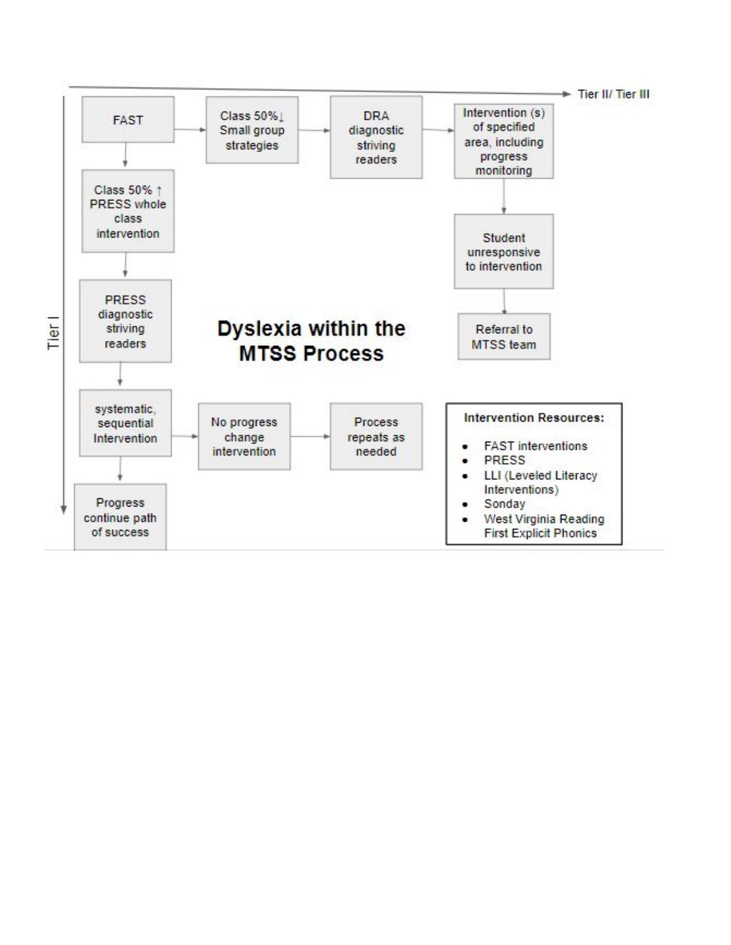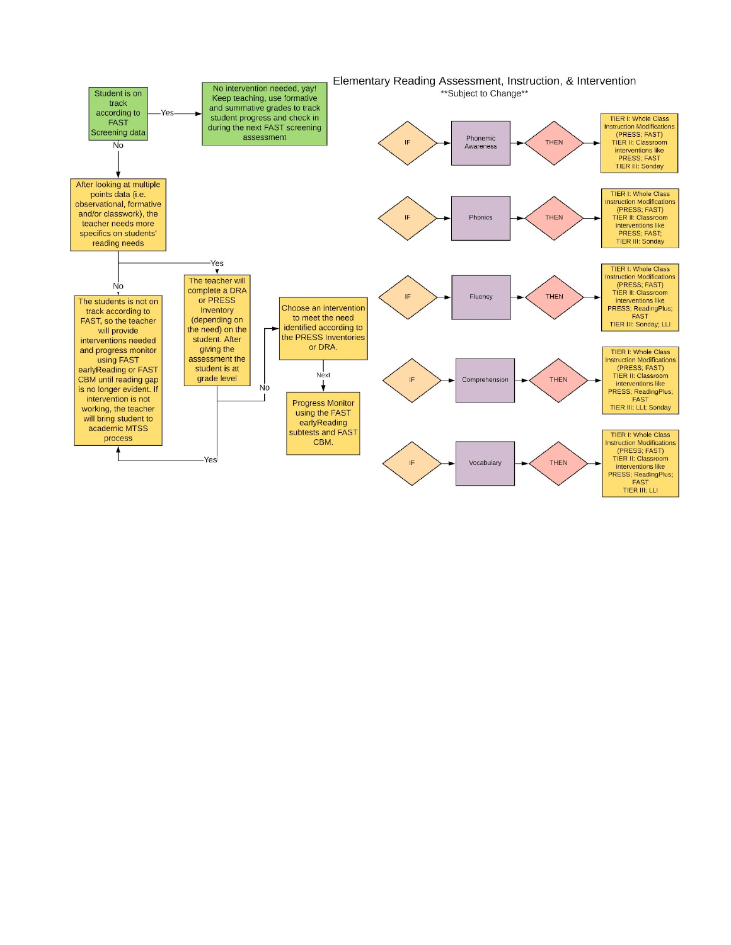